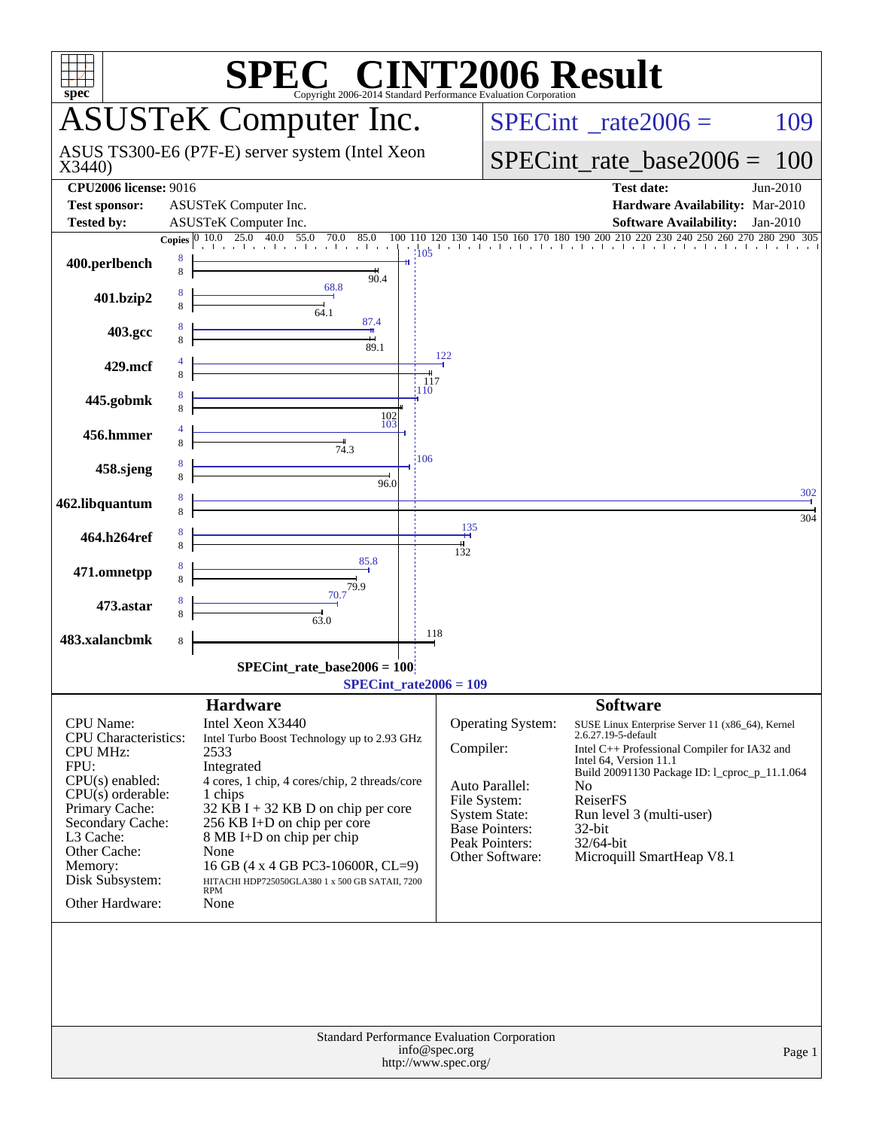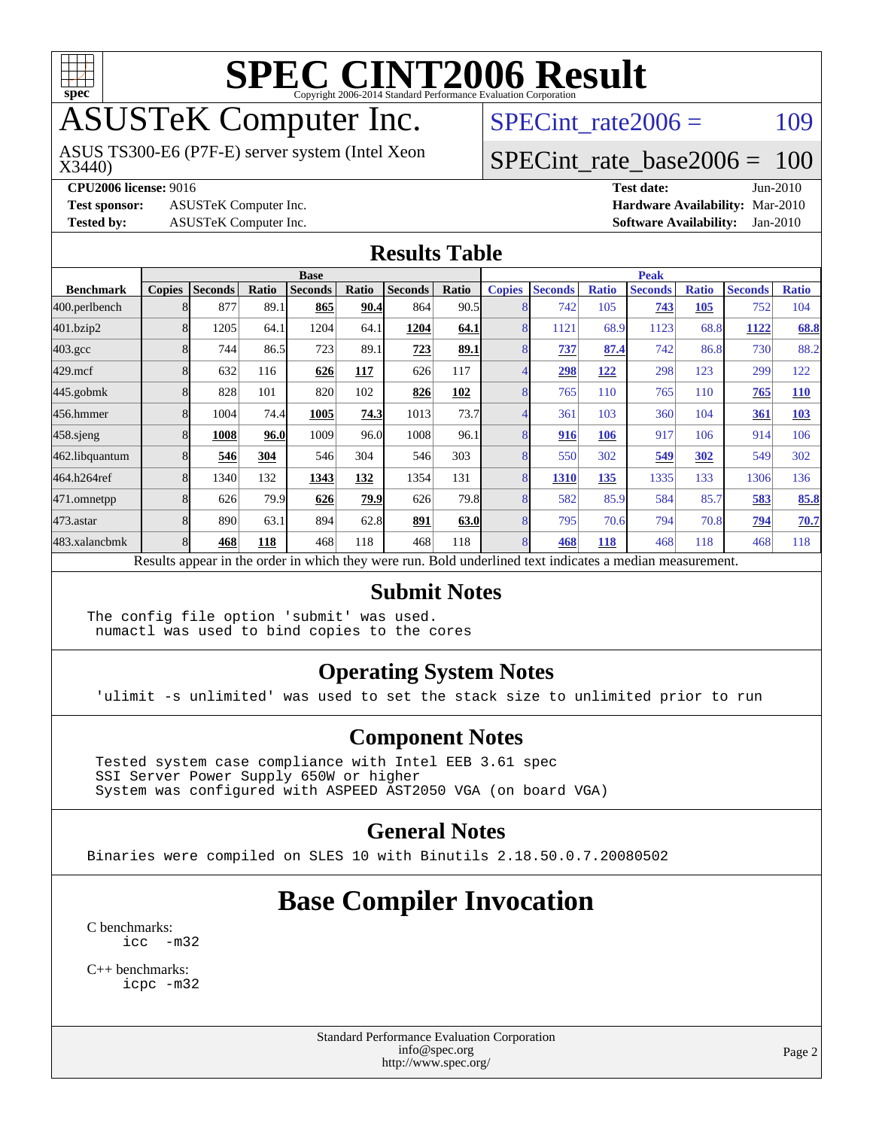

# ASUSTeK Computer Inc.

X3440) ASUS TS300-E6 (P7F-E) server system (Intel Xeon SPECint rate $2006 = 109$ 

#### [SPECint\\_rate\\_base2006 =](http://www.spec.org/auto/cpu2006/Docs/result-fields.html#SPECintratebase2006) 100

**[Test sponsor:](http://www.spec.org/auto/cpu2006/Docs/result-fields.html#Testsponsor)** ASUSTeK Computer Inc. **[Hardware Availability:](http://www.spec.org/auto/cpu2006/Docs/result-fields.html#HardwareAvailability)** Mar-2010

**[CPU2006 license:](http://www.spec.org/auto/cpu2006/Docs/result-fields.html#CPU2006license)** 9016 **[Test date:](http://www.spec.org/auto/cpu2006/Docs/result-fields.html#Testdate)** Jun-2010 **[Tested by:](http://www.spec.org/auto/cpu2006/Docs/result-fields.html#Testedby)** ASUSTeK Computer Inc. **[Software Availability:](http://www.spec.org/auto/cpu2006/Docs/result-fields.html#SoftwareAvailability)** Jan-2010

#### **[Results Table](http://www.spec.org/auto/cpu2006/Docs/result-fields.html#ResultsTable)**

|                    | <b>Base</b>   |                |              |                                                                                                          |       |                |             | <b>Peak</b>   |                |              |                |              |                |              |
|--------------------|---------------|----------------|--------------|----------------------------------------------------------------------------------------------------------|-------|----------------|-------------|---------------|----------------|--------------|----------------|--------------|----------------|--------------|
| <b>Benchmark</b>   | <b>Copies</b> | <b>Seconds</b> | <b>Ratio</b> | <b>Seconds</b>                                                                                           | Ratio | <b>Seconds</b> | Ratio       | <b>Copies</b> | <b>Seconds</b> | <b>Ratio</b> | <b>Seconds</b> | <b>Ratio</b> | <b>Seconds</b> | <b>Ratio</b> |
| 400.perlbench      |               | 877            | 89.1         | 865                                                                                                      | 90.4  | 864            | 90.5        |               | 742            | 105          | 743            | 105          | 752            | 104          |
| 401.bzip2          |               | 1205           | 64.1         | 1204                                                                                                     | 64.1  | 1204           | 64.1        | 8             | 1121           | 68.9         | 1123           | 68.8         | 1122           | 68.8         |
| $403.\mathrm{gcc}$ |               | 744            | 86.5         | 723                                                                                                      | 89.1  | 723            | 89.1        |               | 737            | 87.4         | 742            | 86.8         | 730            | 88.2         |
| $429$ .mcf         |               | 632            | 116          | 626                                                                                                      | 117   | 626            | 117         |               | 298            | <u>122</u>   | 298            | 123          | 299            | 122          |
| $445$ .gobm $k$    |               | 828            | 101          | 820                                                                                                      | 102   | 826            | 102         |               | 765            | 110          | 765            | 110          | 765            | <b>110</b>   |
| 456.hmmer          |               | 1004           | 74.4         | 1005                                                                                                     | 74.3  | 1013           | 73.7        |               | 361            | 103          | 360            | 104          | 361            | 103          |
| $458$ .sjeng       |               | 1008           | 96.0         | 1009                                                                                                     | 96.0  | 1008           | 96.1        |               | 916            | 106          | 917            | 106          | 914            | 106          |
| 462.libquantum     |               | 546            | 304          | 546                                                                                                      | 304   | 546            | 303         |               | 550            | 302          | 549            | 302          | 549            | 302          |
| 464.h264ref        |               | 1340           | 132          | 1343                                                                                                     | 132   | 1354           | 131         | 8             | 1310           | 135          | 1335           | 133          | 1306           | 136          |
| 471.omnetpp        |               | 626            | 79.9         | 626                                                                                                      | 79.9  | 626            | 79.8        |               | 582            | 85.9         | 584            | 85.7         | 583            | 85.8         |
| $473$ . astar      |               | 890            | 63.1         | 894                                                                                                      | 62.8  | 891            | <b>63.0</b> |               | 795            | 70.6         | 794            | 70.8         | 794            | 70.7         |
| 483.xalancbmk      |               | 468            | 118          | 468                                                                                                      | 118   | 468            | 118         | 8             | 468            | 118          | 468            | 118          | 468            | 118          |
|                    |               |                |              | Results appear in the order in which they were run. Bold underlined text indicates a median measurement. |       |                |             |               |                |              |                |              |                |              |

#### **[Submit Notes](http://www.spec.org/auto/cpu2006/Docs/result-fields.html#SubmitNotes)**

The config file option 'submit' was used. numactl was used to bind copies to the cores

#### **[Operating System Notes](http://www.spec.org/auto/cpu2006/Docs/result-fields.html#OperatingSystemNotes)**

'ulimit -s unlimited' was used to set the stack size to unlimited prior to run

#### **[Component Notes](http://www.spec.org/auto/cpu2006/Docs/result-fields.html#ComponentNotes)**

 Tested system case compliance with Intel EEB 3.61 spec SSI Server Power Supply 650W or higher System was configured with ASPEED AST2050 VGA (on board VGA)

#### **[General Notes](http://www.spec.org/auto/cpu2006/Docs/result-fields.html#GeneralNotes)**

Binaries were compiled on SLES 10 with Binutils 2.18.50.0.7.20080502

### **[Base Compiler Invocation](http://www.spec.org/auto/cpu2006/Docs/result-fields.html#BaseCompilerInvocation)**

[C benchmarks](http://www.spec.org/auto/cpu2006/Docs/result-fields.html#Cbenchmarks): [icc -m32](http://www.spec.org/cpu2006/results/res2010q3/cpu2006-20100719-12575.flags.html#user_CCbase_intel_icc_32bit_5ff4a39e364c98233615fdd38438c6f2)

[C++ benchmarks:](http://www.spec.org/auto/cpu2006/Docs/result-fields.html#CXXbenchmarks) [icpc -m32](http://www.spec.org/cpu2006/results/res2010q3/cpu2006-20100719-12575.flags.html#user_CXXbase_intel_icpc_32bit_4e5a5ef1a53fd332b3c49e69c3330699)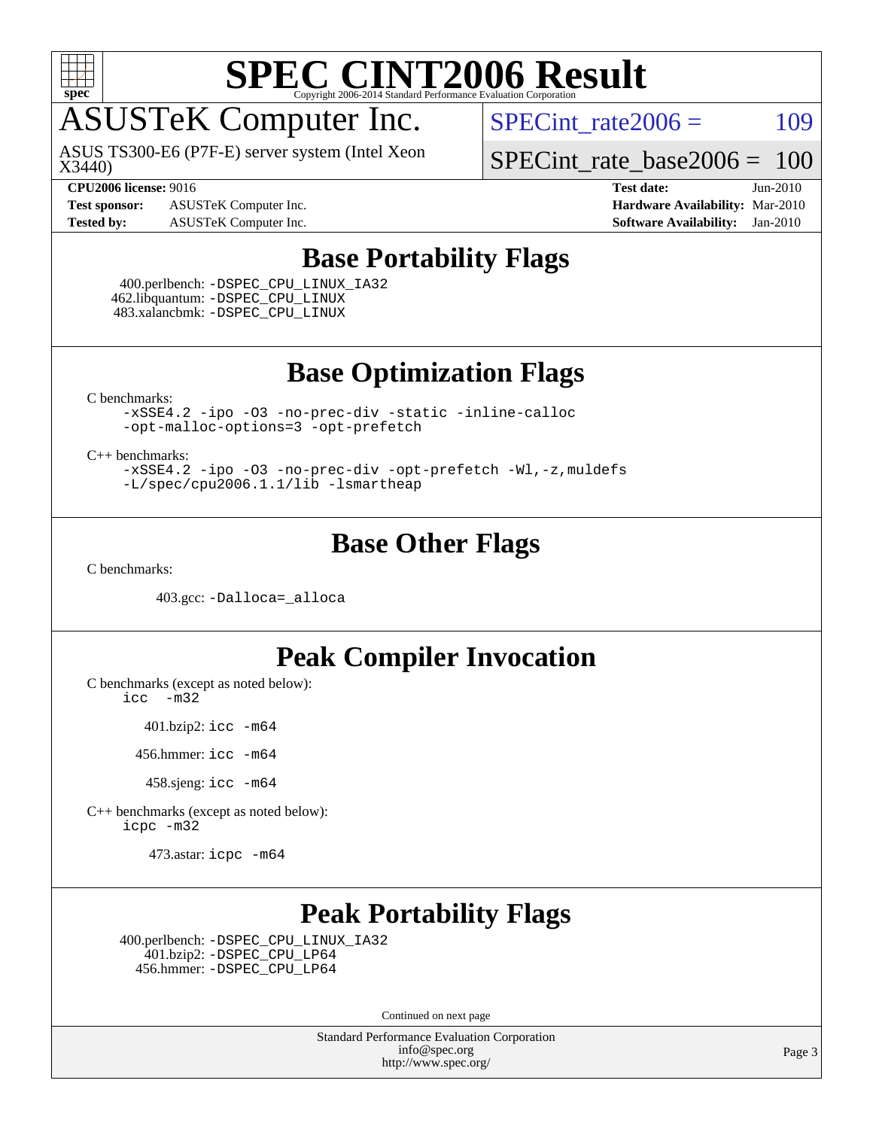

## ASUSTeK Computer Inc.

X3440) ASUS TS300-E6 (P7F-E) server system (Intel Xeon SPECint rate $2006 = 109$ 

[SPECint\\_rate\\_base2006 =](http://www.spec.org/auto/cpu2006/Docs/result-fields.html#SPECintratebase2006) 100

**[Test sponsor:](http://www.spec.org/auto/cpu2006/Docs/result-fields.html#Testsponsor)** ASUSTeK Computer Inc. **[Hardware Availability:](http://www.spec.org/auto/cpu2006/Docs/result-fields.html#HardwareAvailability)** Mar-2010 **[Tested by:](http://www.spec.org/auto/cpu2006/Docs/result-fields.html#Testedby)** ASUSTeK Computer Inc. **[Software Availability:](http://www.spec.org/auto/cpu2006/Docs/result-fields.html#SoftwareAvailability)** Jan-2010

**[CPU2006 license:](http://www.spec.org/auto/cpu2006/Docs/result-fields.html#CPU2006license)** 9016 **[Test date:](http://www.spec.org/auto/cpu2006/Docs/result-fields.html#Testdate)** Jun-2010

#### **[Base Portability Flags](http://www.spec.org/auto/cpu2006/Docs/result-fields.html#BasePortabilityFlags)**

 400.perlbench: [-DSPEC\\_CPU\\_LINUX\\_IA32](http://www.spec.org/cpu2006/results/res2010q3/cpu2006-20100719-12575.flags.html#b400.perlbench_baseCPORTABILITY_DSPEC_CPU_LINUX_IA32) 462.libquantum: [-DSPEC\\_CPU\\_LINUX](http://www.spec.org/cpu2006/results/res2010q3/cpu2006-20100719-12575.flags.html#b462.libquantum_baseCPORTABILITY_DSPEC_CPU_LINUX) 483.xalancbmk: [-DSPEC\\_CPU\\_LINUX](http://www.spec.org/cpu2006/results/res2010q3/cpu2006-20100719-12575.flags.html#b483.xalancbmk_baseCXXPORTABILITY_DSPEC_CPU_LINUX)

**[Base Optimization Flags](http://www.spec.org/auto/cpu2006/Docs/result-fields.html#BaseOptimizationFlags)**

[C benchmarks](http://www.spec.org/auto/cpu2006/Docs/result-fields.html#Cbenchmarks):

[-xSSE4.2](http://www.spec.org/cpu2006/results/res2010q3/cpu2006-20100719-12575.flags.html#user_CCbase_f-xSSE42_f91528193cf0b216347adb8b939d4107) [-ipo](http://www.spec.org/cpu2006/results/res2010q3/cpu2006-20100719-12575.flags.html#user_CCbase_f-ipo) [-O3](http://www.spec.org/cpu2006/results/res2010q3/cpu2006-20100719-12575.flags.html#user_CCbase_f-O3) [-no-prec-div](http://www.spec.org/cpu2006/results/res2010q3/cpu2006-20100719-12575.flags.html#user_CCbase_f-no-prec-div) [-static](http://www.spec.org/cpu2006/results/res2010q3/cpu2006-20100719-12575.flags.html#user_CCbase_f-static) [-inline-calloc](http://www.spec.org/cpu2006/results/res2010q3/cpu2006-20100719-12575.flags.html#user_CCbase_f-inline-calloc) [-opt-malloc-options=3](http://www.spec.org/cpu2006/results/res2010q3/cpu2006-20100719-12575.flags.html#user_CCbase_f-opt-malloc-options_13ab9b803cf986b4ee62f0a5998c2238) [-opt-prefetch](http://www.spec.org/cpu2006/results/res2010q3/cpu2006-20100719-12575.flags.html#user_CCbase_f-opt-prefetch)

[C++ benchmarks:](http://www.spec.org/auto/cpu2006/Docs/result-fields.html#CXXbenchmarks)

[-xSSE4.2](http://www.spec.org/cpu2006/results/res2010q3/cpu2006-20100719-12575.flags.html#user_CXXbase_f-xSSE42_f91528193cf0b216347adb8b939d4107) [-ipo](http://www.spec.org/cpu2006/results/res2010q3/cpu2006-20100719-12575.flags.html#user_CXXbase_f-ipo) [-O3](http://www.spec.org/cpu2006/results/res2010q3/cpu2006-20100719-12575.flags.html#user_CXXbase_f-O3) [-no-prec-div](http://www.spec.org/cpu2006/results/res2010q3/cpu2006-20100719-12575.flags.html#user_CXXbase_f-no-prec-div) [-opt-prefetch](http://www.spec.org/cpu2006/results/res2010q3/cpu2006-20100719-12575.flags.html#user_CXXbase_f-opt-prefetch) [-Wl,-z,muldefs](http://www.spec.org/cpu2006/results/res2010q3/cpu2006-20100719-12575.flags.html#user_CXXbase_link_force_multiple1_74079c344b956b9658436fd1b6dd3a8a) [-L/spec/cpu2006.1.1/lib -lsmartheap](http://www.spec.org/cpu2006/results/res2010q3/cpu2006-20100719-12575.flags.html#user_CXXbase_SmartHeap_24f08194f327579528aeae1446fb78cf)

#### **[Base Other Flags](http://www.spec.org/auto/cpu2006/Docs/result-fields.html#BaseOtherFlags)**

[C benchmarks](http://www.spec.org/auto/cpu2006/Docs/result-fields.html#Cbenchmarks):

403.gcc: [-Dalloca=\\_alloca](http://www.spec.org/cpu2006/results/res2010q3/cpu2006-20100719-12575.flags.html#b403.gcc_baseEXTRA_CFLAGS_Dalloca_be3056838c12de2578596ca5467af7f3)

#### **[Peak Compiler Invocation](http://www.spec.org/auto/cpu2006/Docs/result-fields.html#PeakCompilerInvocation)**

[C benchmarks \(except as noted below\)](http://www.spec.org/auto/cpu2006/Docs/result-fields.html#Cbenchmarksexceptasnotedbelow): [icc -m32](http://www.spec.org/cpu2006/results/res2010q3/cpu2006-20100719-12575.flags.html#user_CCpeak_intel_icc_32bit_5ff4a39e364c98233615fdd38438c6f2)

401.bzip2: [icc -m64](http://www.spec.org/cpu2006/results/res2010q3/cpu2006-20100719-12575.flags.html#user_peakCCLD401_bzip2_intel_icc_64bit_bda6cc9af1fdbb0edc3795bac97ada53)

456.hmmer: [icc -m64](http://www.spec.org/cpu2006/results/res2010q3/cpu2006-20100719-12575.flags.html#user_peakCCLD456_hmmer_intel_icc_64bit_bda6cc9af1fdbb0edc3795bac97ada53)

458.sjeng: [icc -m64](http://www.spec.org/cpu2006/results/res2010q3/cpu2006-20100719-12575.flags.html#user_peakCCLD458_sjeng_intel_icc_64bit_bda6cc9af1fdbb0edc3795bac97ada53)

[C++ benchmarks \(except as noted below\):](http://www.spec.org/auto/cpu2006/Docs/result-fields.html#CXXbenchmarksexceptasnotedbelow) [icpc -m32](http://www.spec.org/cpu2006/results/res2010q3/cpu2006-20100719-12575.flags.html#user_CXXpeak_intel_icpc_32bit_4e5a5ef1a53fd332b3c49e69c3330699)

473.astar: [icpc -m64](http://www.spec.org/cpu2006/results/res2010q3/cpu2006-20100719-12575.flags.html#user_peakCXXLD473_astar_intel_icpc_64bit_fc66a5337ce925472a5c54ad6a0de310)

### **[Peak Portability Flags](http://www.spec.org/auto/cpu2006/Docs/result-fields.html#PeakPortabilityFlags)**

 400.perlbench: [-DSPEC\\_CPU\\_LINUX\\_IA32](http://www.spec.org/cpu2006/results/res2010q3/cpu2006-20100719-12575.flags.html#b400.perlbench_peakCPORTABILITY_DSPEC_CPU_LINUX_IA32) 401.bzip2: [-DSPEC\\_CPU\\_LP64](http://www.spec.org/cpu2006/results/res2010q3/cpu2006-20100719-12575.flags.html#suite_peakCPORTABILITY401_bzip2_DSPEC_CPU_LP64) 456.hmmer: [-DSPEC\\_CPU\\_LP64](http://www.spec.org/cpu2006/results/res2010q3/cpu2006-20100719-12575.flags.html#suite_peakCPORTABILITY456_hmmer_DSPEC_CPU_LP64)

Continued on next page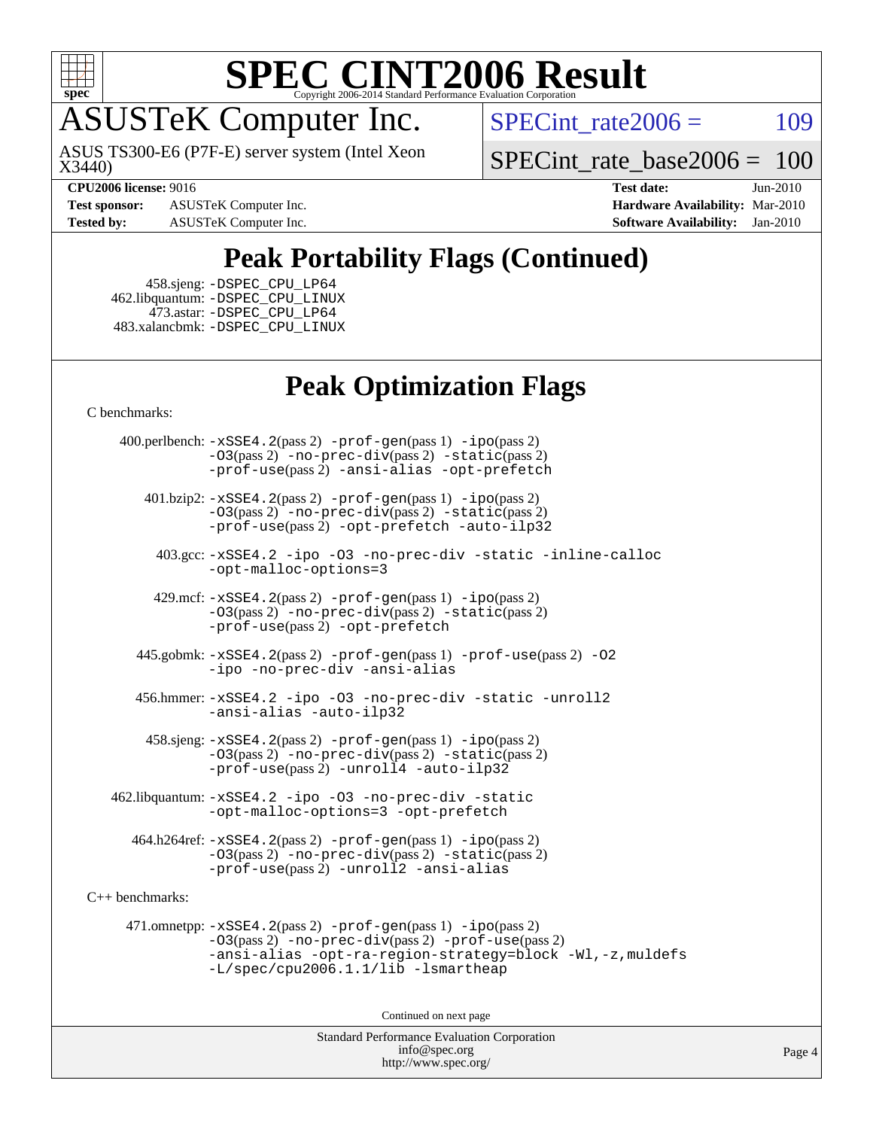

ASUSTeK Computer Inc.

X3440) ASUS TS300-E6 (P7F-E) server system (Intel Xeon SPECint rate $2006 = 109$ 

SPECint rate base2006 =  $100$ 

**[Test sponsor:](http://www.spec.org/auto/cpu2006/Docs/result-fields.html#Testsponsor)** ASUSTeK Computer Inc. **[Hardware Availability:](http://www.spec.org/auto/cpu2006/Docs/result-fields.html#HardwareAvailability)** Mar-2010

**[CPU2006 license:](http://www.spec.org/auto/cpu2006/Docs/result-fields.html#CPU2006license)** 9016 **[Test date:](http://www.spec.org/auto/cpu2006/Docs/result-fields.html#Testdate)** Jun-2010 **[Tested by:](http://www.spec.org/auto/cpu2006/Docs/result-fields.html#Testedby)** ASUSTeK Computer Inc. **[Software Availability:](http://www.spec.org/auto/cpu2006/Docs/result-fields.html#SoftwareAvailability)** Jan-2010

### **[Peak Portability Flags \(Continued\)](http://www.spec.org/auto/cpu2006/Docs/result-fields.html#PeakPortabilityFlags)**

 458.sjeng: [-DSPEC\\_CPU\\_LP64](http://www.spec.org/cpu2006/results/res2010q3/cpu2006-20100719-12575.flags.html#suite_peakCPORTABILITY458_sjeng_DSPEC_CPU_LP64) 462.libquantum: [-DSPEC\\_CPU\\_LINUX](http://www.spec.org/cpu2006/results/res2010q3/cpu2006-20100719-12575.flags.html#b462.libquantum_peakCPORTABILITY_DSPEC_CPU_LINUX) 473.astar: [-DSPEC\\_CPU\\_LP64](http://www.spec.org/cpu2006/results/res2010q3/cpu2006-20100719-12575.flags.html#suite_peakCXXPORTABILITY473_astar_DSPEC_CPU_LP64) 483.xalancbmk: [-DSPEC\\_CPU\\_LINUX](http://www.spec.org/cpu2006/results/res2010q3/cpu2006-20100719-12575.flags.html#b483.xalancbmk_peakCXXPORTABILITY_DSPEC_CPU_LINUX)

### **[Peak Optimization Flags](http://www.spec.org/auto/cpu2006/Docs/result-fields.html#PeakOptimizationFlags)**

[C benchmarks](http://www.spec.org/auto/cpu2006/Docs/result-fields.html#Cbenchmarks):

 400.perlbench: [-xSSE4.2](http://www.spec.org/cpu2006/results/res2010q3/cpu2006-20100719-12575.flags.html#user_peakPASS2_CFLAGSPASS2_LDCFLAGS400_perlbench_f-xSSE42_f91528193cf0b216347adb8b939d4107)(pass 2) [-prof-gen](http://www.spec.org/cpu2006/results/res2010q3/cpu2006-20100719-12575.flags.html#user_peakPASS1_CFLAGSPASS1_LDCFLAGS400_perlbench_prof_gen_e43856698f6ca7b7e442dfd80e94a8fc)(pass 1) [-ipo](http://www.spec.org/cpu2006/results/res2010q3/cpu2006-20100719-12575.flags.html#user_peakPASS2_CFLAGSPASS2_LDCFLAGS400_perlbench_f-ipo)(pass 2) [-O3](http://www.spec.org/cpu2006/results/res2010q3/cpu2006-20100719-12575.flags.html#user_peakPASS2_CFLAGSPASS2_LDCFLAGS400_perlbench_f-O3)(pass 2) [-no-prec-div](http://www.spec.org/cpu2006/results/res2010q3/cpu2006-20100719-12575.flags.html#user_peakPASS2_CFLAGSPASS2_LDCFLAGS400_perlbench_f-no-prec-div)(pass 2) [-static](http://www.spec.org/cpu2006/results/res2010q3/cpu2006-20100719-12575.flags.html#user_peakPASS2_CFLAGSPASS2_LDCFLAGS400_perlbench_f-static)(pass 2) [-prof-use](http://www.spec.org/cpu2006/results/res2010q3/cpu2006-20100719-12575.flags.html#user_peakPASS2_CFLAGSPASS2_LDCFLAGS400_perlbench_prof_use_bccf7792157ff70d64e32fe3e1250b55)(pass 2) [-ansi-alias](http://www.spec.org/cpu2006/results/res2010q3/cpu2006-20100719-12575.flags.html#user_peakCOPTIMIZE400_perlbench_f-ansi-alias) [-opt-prefetch](http://www.spec.org/cpu2006/results/res2010q3/cpu2006-20100719-12575.flags.html#user_peakCOPTIMIZE400_perlbench_f-opt-prefetch)

 401.bzip2: [-xSSE4.2](http://www.spec.org/cpu2006/results/res2010q3/cpu2006-20100719-12575.flags.html#user_peakPASS2_CFLAGSPASS2_LDCFLAGS401_bzip2_f-xSSE42_f91528193cf0b216347adb8b939d4107)(pass 2) [-prof-gen](http://www.spec.org/cpu2006/results/res2010q3/cpu2006-20100719-12575.flags.html#user_peakPASS1_CFLAGSPASS1_LDCFLAGS401_bzip2_prof_gen_e43856698f6ca7b7e442dfd80e94a8fc)(pass 1) [-ipo](http://www.spec.org/cpu2006/results/res2010q3/cpu2006-20100719-12575.flags.html#user_peakPASS2_CFLAGSPASS2_LDCFLAGS401_bzip2_f-ipo)(pass 2) [-O3](http://www.spec.org/cpu2006/results/res2010q3/cpu2006-20100719-12575.flags.html#user_peakPASS2_CFLAGSPASS2_LDCFLAGS401_bzip2_f-O3)(pass 2) [-no-prec-div](http://www.spec.org/cpu2006/results/res2010q3/cpu2006-20100719-12575.flags.html#user_peakPASS2_CFLAGSPASS2_LDCFLAGS401_bzip2_f-no-prec-div)(pass 2) [-static](http://www.spec.org/cpu2006/results/res2010q3/cpu2006-20100719-12575.flags.html#user_peakPASS2_CFLAGSPASS2_LDCFLAGS401_bzip2_f-static)(pass 2) [-prof-use](http://www.spec.org/cpu2006/results/res2010q3/cpu2006-20100719-12575.flags.html#user_peakPASS2_CFLAGSPASS2_LDCFLAGS401_bzip2_prof_use_bccf7792157ff70d64e32fe3e1250b55)(pass 2) [-opt-prefetch](http://www.spec.org/cpu2006/results/res2010q3/cpu2006-20100719-12575.flags.html#user_peakCOPTIMIZE401_bzip2_f-opt-prefetch) [-auto-ilp32](http://www.spec.org/cpu2006/results/res2010q3/cpu2006-20100719-12575.flags.html#user_peakCOPTIMIZE401_bzip2_f-auto-ilp32)

 403.gcc: [-xSSE4.2](http://www.spec.org/cpu2006/results/res2010q3/cpu2006-20100719-12575.flags.html#user_peakCOPTIMIZE403_gcc_f-xSSE42_f91528193cf0b216347adb8b939d4107) [-ipo](http://www.spec.org/cpu2006/results/res2010q3/cpu2006-20100719-12575.flags.html#user_peakCOPTIMIZE403_gcc_f-ipo) [-O3](http://www.spec.org/cpu2006/results/res2010q3/cpu2006-20100719-12575.flags.html#user_peakCOPTIMIZE403_gcc_f-O3) [-no-prec-div](http://www.spec.org/cpu2006/results/res2010q3/cpu2006-20100719-12575.flags.html#user_peakCOPTIMIZE403_gcc_f-no-prec-div) [-static](http://www.spec.org/cpu2006/results/res2010q3/cpu2006-20100719-12575.flags.html#user_peakCOPTIMIZE403_gcc_f-static) [-inline-calloc](http://www.spec.org/cpu2006/results/res2010q3/cpu2006-20100719-12575.flags.html#user_peakCOPTIMIZE403_gcc_f-inline-calloc) [-opt-malloc-options=3](http://www.spec.org/cpu2006/results/res2010q3/cpu2006-20100719-12575.flags.html#user_peakCOPTIMIZE403_gcc_f-opt-malloc-options_13ab9b803cf986b4ee62f0a5998c2238)

 429.mcf: [-xSSE4.2](http://www.spec.org/cpu2006/results/res2010q3/cpu2006-20100719-12575.flags.html#user_peakPASS2_CFLAGSPASS2_LDCFLAGS429_mcf_f-xSSE42_f91528193cf0b216347adb8b939d4107)(pass 2) [-prof-gen](http://www.spec.org/cpu2006/results/res2010q3/cpu2006-20100719-12575.flags.html#user_peakPASS1_CFLAGSPASS1_LDCFLAGS429_mcf_prof_gen_e43856698f6ca7b7e442dfd80e94a8fc)(pass 1) [-ipo](http://www.spec.org/cpu2006/results/res2010q3/cpu2006-20100719-12575.flags.html#user_peakPASS2_CFLAGSPASS2_LDCFLAGS429_mcf_f-ipo)(pass 2) [-O3](http://www.spec.org/cpu2006/results/res2010q3/cpu2006-20100719-12575.flags.html#user_peakPASS2_CFLAGSPASS2_LDCFLAGS429_mcf_f-O3)(pass 2) [-no-prec-div](http://www.spec.org/cpu2006/results/res2010q3/cpu2006-20100719-12575.flags.html#user_peakPASS2_CFLAGSPASS2_LDCFLAGS429_mcf_f-no-prec-div)(pass 2) [-static](http://www.spec.org/cpu2006/results/res2010q3/cpu2006-20100719-12575.flags.html#user_peakPASS2_CFLAGSPASS2_LDCFLAGS429_mcf_f-static)(pass 2) [-prof-use](http://www.spec.org/cpu2006/results/res2010q3/cpu2006-20100719-12575.flags.html#user_peakPASS2_CFLAGSPASS2_LDCFLAGS429_mcf_prof_use_bccf7792157ff70d64e32fe3e1250b55)(pass 2) [-opt-prefetch](http://www.spec.org/cpu2006/results/res2010q3/cpu2006-20100719-12575.flags.html#user_peakCOPTIMIZE429_mcf_f-opt-prefetch)

 445.gobmk: [-xSSE4.2](http://www.spec.org/cpu2006/results/res2010q3/cpu2006-20100719-12575.flags.html#user_peakPASS2_CFLAGSPASS2_LDCFLAGS445_gobmk_f-xSSE42_f91528193cf0b216347adb8b939d4107)(pass 2) [-prof-gen](http://www.spec.org/cpu2006/results/res2010q3/cpu2006-20100719-12575.flags.html#user_peakPASS1_CFLAGSPASS1_LDCFLAGS445_gobmk_prof_gen_e43856698f6ca7b7e442dfd80e94a8fc)(pass 1) [-prof-use](http://www.spec.org/cpu2006/results/res2010q3/cpu2006-20100719-12575.flags.html#user_peakPASS2_CFLAGSPASS2_LDCFLAGS445_gobmk_prof_use_bccf7792157ff70d64e32fe3e1250b55)(pass 2) [-O2](http://www.spec.org/cpu2006/results/res2010q3/cpu2006-20100719-12575.flags.html#user_peakCOPTIMIZE445_gobmk_f-O2) [-ipo](http://www.spec.org/cpu2006/results/res2010q3/cpu2006-20100719-12575.flags.html#user_peakCOPTIMIZE445_gobmk_f-ipo) [-no-prec-div](http://www.spec.org/cpu2006/results/res2010q3/cpu2006-20100719-12575.flags.html#user_peakCOPTIMIZE445_gobmk_f-no-prec-div) [-ansi-alias](http://www.spec.org/cpu2006/results/res2010q3/cpu2006-20100719-12575.flags.html#user_peakCOPTIMIZE445_gobmk_f-ansi-alias)

 456.hmmer: [-xSSE4.2](http://www.spec.org/cpu2006/results/res2010q3/cpu2006-20100719-12575.flags.html#user_peakCOPTIMIZE456_hmmer_f-xSSE42_f91528193cf0b216347adb8b939d4107) [-ipo](http://www.spec.org/cpu2006/results/res2010q3/cpu2006-20100719-12575.flags.html#user_peakCOPTIMIZE456_hmmer_f-ipo) [-O3](http://www.spec.org/cpu2006/results/res2010q3/cpu2006-20100719-12575.flags.html#user_peakCOPTIMIZE456_hmmer_f-O3) [-no-prec-div](http://www.spec.org/cpu2006/results/res2010q3/cpu2006-20100719-12575.flags.html#user_peakCOPTIMIZE456_hmmer_f-no-prec-div) [-static](http://www.spec.org/cpu2006/results/res2010q3/cpu2006-20100719-12575.flags.html#user_peakCOPTIMIZE456_hmmer_f-static) [-unroll2](http://www.spec.org/cpu2006/results/res2010q3/cpu2006-20100719-12575.flags.html#user_peakCOPTIMIZE456_hmmer_f-unroll_784dae83bebfb236979b41d2422d7ec2) [-ansi-alias](http://www.spec.org/cpu2006/results/res2010q3/cpu2006-20100719-12575.flags.html#user_peakCOPTIMIZE456_hmmer_f-ansi-alias) [-auto-ilp32](http://www.spec.org/cpu2006/results/res2010q3/cpu2006-20100719-12575.flags.html#user_peakCOPTIMIZE456_hmmer_f-auto-ilp32)

 $458 \text{.}$  sjeng:  $-xSSE4$ .  $2(\text{pass 2})$  -prof-qen(pass 1) [-ipo](http://www.spec.org/cpu2006/results/res2010q3/cpu2006-20100719-12575.flags.html#user_peakPASS2_CFLAGSPASS2_LDCFLAGS458_sjeng_f-ipo)(pass 2) [-O3](http://www.spec.org/cpu2006/results/res2010q3/cpu2006-20100719-12575.flags.html#user_peakPASS2_CFLAGSPASS2_LDCFLAGS458_sjeng_f-O3)(pass 2) [-no-prec-div](http://www.spec.org/cpu2006/results/res2010q3/cpu2006-20100719-12575.flags.html#user_peakPASS2_CFLAGSPASS2_LDCFLAGS458_sjeng_f-no-prec-div)(pass 2) [-static](http://www.spec.org/cpu2006/results/res2010q3/cpu2006-20100719-12575.flags.html#user_peakPASS2_CFLAGSPASS2_LDCFLAGS458_sjeng_f-static)(pass 2) [-prof-use](http://www.spec.org/cpu2006/results/res2010q3/cpu2006-20100719-12575.flags.html#user_peakPASS2_CFLAGSPASS2_LDCFLAGS458_sjeng_prof_use_bccf7792157ff70d64e32fe3e1250b55)(pass 2) [-unroll4](http://www.spec.org/cpu2006/results/res2010q3/cpu2006-20100719-12575.flags.html#user_peakCOPTIMIZE458_sjeng_f-unroll_4e5e4ed65b7fd20bdcd365bec371b81f) [-auto-ilp32](http://www.spec.org/cpu2006/results/res2010q3/cpu2006-20100719-12575.flags.html#user_peakCOPTIMIZE458_sjeng_f-auto-ilp32)

 462.libquantum: [-xSSE4.2](http://www.spec.org/cpu2006/results/res2010q3/cpu2006-20100719-12575.flags.html#user_peakCOPTIMIZE462_libquantum_f-xSSE42_f91528193cf0b216347adb8b939d4107) [-ipo](http://www.spec.org/cpu2006/results/res2010q3/cpu2006-20100719-12575.flags.html#user_peakCOPTIMIZE462_libquantum_f-ipo) [-O3](http://www.spec.org/cpu2006/results/res2010q3/cpu2006-20100719-12575.flags.html#user_peakCOPTIMIZE462_libquantum_f-O3) [-no-prec-div](http://www.spec.org/cpu2006/results/res2010q3/cpu2006-20100719-12575.flags.html#user_peakCOPTIMIZE462_libquantum_f-no-prec-div) [-static](http://www.spec.org/cpu2006/results/res2010q3/cpu2006-20100719-12575.flags.html#user_peakCOPTIMIZE462_libquantum_f-static) [-opt-malloc-options=3](http://www.spec.org/cpu2006/results/res2010q3/cpu2006-20100719-12575.flags.html#user_peakCOPTIMIZE462_libquantum_f-opt-malloc-options_13ab9b803cf986b4ee62f0a5998c2238) [-opt-prefetch](http://www.spec.org/cpu2006/results/res2010q3/cpu2006-20100719-12575.flags.html#user_peakCOPTIMIZE462_libquantum_f-opt-prefetch)

 464.h264ref: [-xSSE4.2](http://www.spec.org/cpu2006/results/res2010q3/cpu2006-20100719-12575.flags.html#user_peakPASS2_CFLAGSPASS2_LDCFLAGS464_h264ref_f-xSSE42_f91528193cf0b216347adb8b939d4107)(pass 2) [-prof-gen](http://www.spec.org/cpu2006/results/res2010q3/cpu2006-20100719-12575.flags.html#user_peakPASS1_CFLAGSPASS1_LDCFLAGS464_h264ref_prof_gen_e43856698f6ca7b7e442dfd80e94a8fc)(pass 1) [-ipo](http://www.spec.org/cpu2006/results/res2010q3/cpu2006-20100719-12575.flags.html#user_peakPASS2_CFLAGSPASS2_LDCFLAGS464_h264ref_f-ipo)(pass 2) [-O3](http://www.spec.org/cpu2006/results/res2010q3/cpu2006-20100719-12575.flags.html#user_peakPASS2_CFLAGSPASS2_LDCFLAGS464_h264ref_f-O3)(pass 2) [-no-prec-div](http://www.spec.org/cpu2006/results/res2010q3/cpu2006-20100719-12575.flags.html#user_peakPASS2_CFLAGSPASS2_LDCFLAGS464_h264ref_f-no-prec-div)(pass 2) [-static](http://www.spec.org/cpu2006/results/res2010q3/cpu2006-20100719-12575.flags.html#user_peakPASS2_CFLAGSPASS2_LDCFLAGS464_h264ref_f-static)(pass 2) [-prof-use](http://www.spec.org/cpu2006/results/res2010q3/cpu2006-20100719-12575.flags.html#user_peakPASS2_CFLAGSPASS2_LDCFLAGS464_h264ref_prof_use_bccf7792157ff70d64e32fe3e1250b55)(pass 2) [-unroll2](http://www.spec.org/cpu2006/results/res2010q3/cpu2006-20100719-12575.flags.html#user_peakCOPTIMIZE464_h264ref_f-unroll_784dae83bebfb236979b41d2422d7ec2) [-ansi-alias](http://www.spec.org/cpu2006/results/res2010q3/cpu2006-20100719-12575.flags.html#user_peakCOPTIMIZE464_h264ref_f-ansi-alias)

[C++ benchmarks:](http://www.spec.org/auto/cpu2006/Docs/result-fields.html#CXXbenchmarks)

 471.omnetpp: [-xSSE4.2](http://www.spec.org/cpu2006/results/res2010q3/cpu2006-20100719-12575.flags.html#user_peakPASS2_CXXFLAGSPASS2_LDCXXFLAGS471_omnetpp_f-xSSE42_f91528193cf0b216347adb8b939d4107)(pass 2) [-prof-gen](http://www.spec.org/cpu2006/results/res2010q3/cpu2006-20100719-12575.flags.html#user_peakPASS1_CXXFLAGSPASS1_LDCXXFLAGS471_omnetpp_prof_gen_e43856698f6ca7b7e442dfd80e94a8fc)(pass 1) [-ipo](http://www.spec.org/cpu2006/results/res2010q3/cpu2006-20100719-12575.flags.html#user_peakPASS2_CXXFLAGSPASS2_LDCXXFLAGS471_omnetpp_f-ipo)(pass 2) [-O3](http://www.spec.org/cpu2006/results/res2010q3/cpu2006-20100719-12575.flags.html#user_peakPASS2_CXXFLAGSPASS2_LDCXXFLAGS471_omnetpp_f-O3)(pass 2) [-no-prec-div](http://www.spec.org/cpu2006/results/res2010q3/cpu2006-20100719-12575.flags.html#user_peakPASS2_CXXFLAGSPASS2_LDCXXFLAGS471_omnetpp_f-no-prec-div)(pass 2) [-prof-use](http://www.spec.org/cpu2006/results/res2010q3/cpu2006-20100719-12575.flags.html#user_peakPASS2_CXXFLAGSPASS2_LDCXXFLAGS471_omnetpp_prof_use_bccf7792157ff70d64e32fe3e1250b55)(pass 2) [-ansi-alias](http://www.spec.org/cpu2006/results/res2010q3/cpu2006-20100719-12575.flags.html#user_peakCXXOPTIMIZE471_omnetpp_f-ansi-alias) [-opt-ra-region-strategy=block](http://www.spec.org/cpu2006/results/res2010q3/cpu2006-20100719-12575.flags.html#user_peakCXXOPTIMIZE471_omnetpp_f-opt-ra-region-strategy-block_a0a37c372d03933b2a18d4af463c1f69) [-Wl,-z,muldefs](http://www.spec.org/cpu2006/results/res2010q3/cpu2006-20100719-12575.flags.html#user_peakEXTRA_LDFLAGS471_omnetpp_link_force_multiple1_74079c344b956b9658436fd1b6dd3a8a) [-L/spec/cpu2006.1.1/lib -lsmartheap](http://www.spec.org/cpu2006/results/res2010q3/cpu2006-20100719-12575.flags.html#user_peakEXTRA_LIBS471_omnetpp_SmartHeap_24f08194f327579528aeae1446fb78cf)

Continued on next page